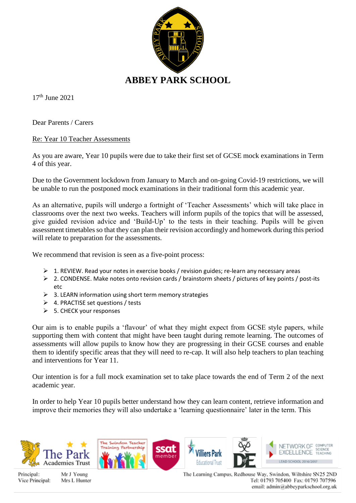

17th June 2021

Dear Parents / Carers

Re: Year 10 Teacher Assessments

As you are aware, Year 10 pupils were due to take their first set of GCSE mock examinations in Term 4 of this year.

Due to the Government lockdown from January to March and on-going Covid-19 restrictions, we will be unable to run the postponed mock examinations in their traditional form this academic year.

As an alternative, pupils will undergo a fortnight of 'Teacher Assessments' which will take place in classrooms over the next two weeks. Teachers will inform pupils of the topics that will be assessed, give guided revision advice and 'Build-Up' to the tests in their teaching. Pupils will be given assessment timetables so that they can plan their revision accordingly and homework during this period will relate to preparation for the assessments.

We recommend that revision is seen as a five-point process:

- $\geq 1$ . REVIEW. Read your notes in exercise books / revision guides; re-learn any necessary areas
- ➢ 2. CONDENSE. Make notes onto revision cards / brainstorm sheets / pictures of key points / post-its etc
- ➢ 3. LEARN information using short term memory strategies
- ➢ 4. PRACTISE set questions / tests
- $\geq$  5. CHECK your responses

Our aim is to enable pupils a 'flavour' of what they might expect from GCSE style papers, while supporting them with content that might have been taught during remote learning. The outcomes of assessments will allow pupils to know how they are progressing in their GCSE courses and enable them to identify specific areas that they will need to re-cap. It will also help teachers to plan teaching and interventions for Year 11.

Our intention is for a full mock examination set to take place towards the end of Term 2 of the next academic year.

In order to help Year 10 pupils better understand how they can learn content, retrieve information and improve their memories they will also undertake a 'learning questionnaire' later in the term. This



Principal: Vice Principal:

Mr J Young Mrs L Hunter The Learning Campus, Redhouse Way, Swindon, Wiltshire SN25 2ND Tel: 01793 705400 Fax: 01793 707596 email: admin@abbeyparkschool.org.uk